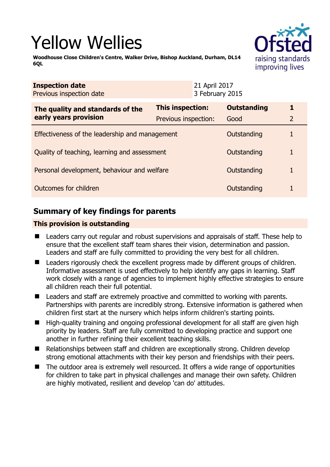# Yellow Wellies



**Woodhouse Close Children's Centre, Walker Drive, Bishop Auckland, Durham, DL14 6QL** 

| <b>Inspection date</b><br>Previous inspection date        |                         | 21 April 2017<br>3 February 2015 |                    |  |
|-----------------------------------------------------------|-------------------------|----------------------------------|--------------------|--|
| The quality and standards of the<br>early years provision | <b>This inspection:</b> |                                  | <b>Outstanding</b> |  |
|                                                           | Previous inspection:    |                                  | Good               |  |
| Effectiveness of the leadership and management            |                         |                                  | Outstanding        |  |
| Quality of teaching, learning and assessment              |                         |                                  | Outstanding        |  |
| Personal development, behaviour and welfare               |                         |                                  | Outstanding        |  |
| Outcomes for children                                     |                         |                                  | Outstanding        |  |

# **Summary of key findings for parents**

## **This provision is outstanding**

- **Leaders carry out regular and robust supervisions and appraisals of staff. These help to** ensure that the excellent staff team shares their vision, determination and passion. Leaders and staff are fully committed to providing the very best for all children.
- Leaders rigorously check the excellent progress made by different groups of children. Informative assessment is used effectively to help identify any gaps in learning. Staff work closely with a range of agencies to implement highly effective strategies to ensure all children reach their full potential.
- Leaders and staff are extremely proactive and committed to working with parents. Partnerships with parents are incredibly strong. Extensive information is gathered when children first start at the nursery which helps inform children's starting points.
- High-quality training and ongoing professional development for all staff are given high priority by leaders. Staff are fully committed to developing practice and support one another in further refining their excellent teaching skills.
- Relationships between staff and children are exceptionally strong. Children develop strong emotional attachments with their key person and friendships with their peers.
- The outdoor area is extremely well resourced. It offers a wide range of opportunities for children to take part in physical challenges and manage their own safety. Children are highly motivated, resilient and develop 'can do' attitudes.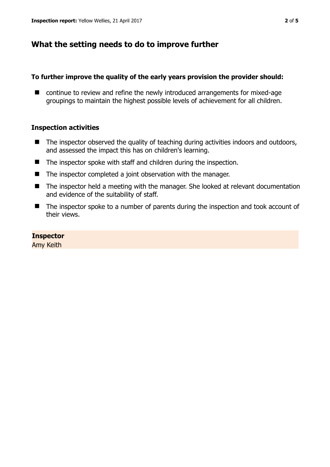# **What the setting needs to do to improve further**

## **To further improve the quality of the early years provision the provider should:**

■ continue to review and refine the newly introduced arrangements for mixed-age groupings to maintain the highest possible levels of achievement for all children.

## **Inspection activities**

- $\blacksquare$  The inspector observed the quality of teaching during activities indoors and outdoors, and assessed the impact this has on children's learning.
- The inspector spoke with staff and children during the inspection.
- The inspector completed a joint observation with the manager.
- The inspector held a meeting with the manager. She looked at relevant documentation and evidence of the suitability of staff.
- The inspector spoke to a number of parents during the inspection and took account of their views.

## **Inspector**

Amy Keith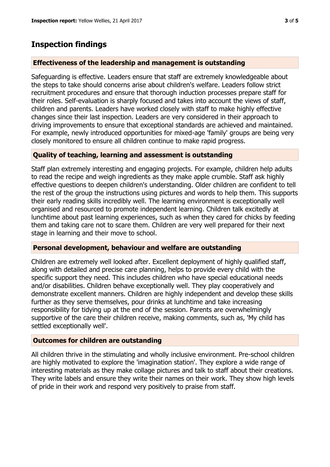## **Inspection findings**

#### **Effectiveness of the leadership and management is outstanding**

Safeguarding is effective. Leaders ensure that staff are extremely knowledgeable about the steps to take should concerns arise about children's welfare. Leaders follow strict recruitment procedures and ensure that thorough induction processes prepare staff for their roles. Self-evaluation is sharply focused and takes into account the views of staff, children and parents. Leaders have worked closely with staff to make highly effective changes since their last inspection. Leaders are very considered in their approach to driving improvements to ensure that exceptional standards are achieved and maintained. For example, newly introduced opportunities for mixed-age 'family' groups are being very closely monitored to ensure all children continue to make rapid progress.

## **Quality of teaching, learning and assessment is outstanding**

Staff plan extremely interesting and engaging projects. For example, children help adults to read the recipe and weigh ingredients as they make apple crumble. Staff ask highly effective questions to deepen children's understanding. Older children are confident to tell the rest of the group the instructions using pictures and words to help them. This supports their early reading skills incredibly well. The learning environment is exceptionally well organised and resourced to promote independent learning. Children talk excitedly at lunchtime about past learning experiences, such as when they cared for chicks by feeding them and taking care not to scare them. Children are very well prepared for their next stage in learning and their move to school.

#### **Personal development, behaviour and welfare are outstanding**

Children are extremely well looked after. Excellent deployment of highly qualified staff, along with detailed and precise care planning, helps to provide every child with the specific support they need. This includes children who have special educational needs and/or disabilities. Children behave exceptionally well. They play cooperatively and demonstrate excellent manners. Children are highly independent and develop these skills further as they serve themselves, pour drinks at lunchtime and take increasing responsibility for tidying up at the end of the session. Parents are overwhelmingly supportive of the care their children receive, making comments, such as, 'My child has settled exceptionally well'.

## **Outcomes for children are outstanding**

All children thrive in the stimulating and wholly inclusive environment. Pre-school children are highly motivated to explore the 'imagination station'. They explore a wide range of interesting materials as they make collage pictures and talk to staff about their creations. They write labels and ensure they write their names on their work. They show high levels of pride in their work and respond very positively to praise from staff.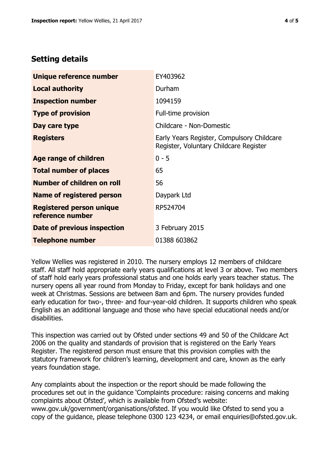## **Setting details**

| Unique reference number                             | EY403962                                                                             |  |
|-----------------------------------------------------|--------------------------------------------------------------------------------------|--|
| <b>Local authority</b>                              | Durham                                                                               |  |
| <b>Inspection number</b>                            | 1094159                                                                              |  |
| <b>Type of provision</b>                            | Full-time provision                                                                  |  |
| Day care type                                       | Childcare - Non-Domestic                                                             |  |
| <b>Registers</b>                                    | Early Years Register, Compulsory Childcare<br>Register, Voluntary Childcare Register |  |
| Age range of children                               | $0 - 5$                                                                              |  |
| <b>Total number of places</b>                       | 65                                                                                   |  |
| Number of children on roll                          | 56                                                                                   |  |
| Name of registered person                           | Daypark Ltd                                                                          |  |
| <b>Registered person unique</b><br>reference number | RP524704                                                                             |  |
| Date of previous inspection                         | 3 February 2015                                                                      |  |
| <b>Telephone number</b>                             | 01388 603862                                                                         |  |

Yellow Wellies was registered in 2010. The nursery employs 12 members of childcare staff. All staff hold appropriate early years qualifications at level 3 or above. Two members of staff hold early years professional status and one holds early years teacher status. The nursery opens all year round from Monday to Friday, except for bank holidays and one week at Christmas. Sessions are between 8am and 6pm. The nursery provides funded early education for two-, three- and four-year-old children. It supports children who speak English as an additional language and those who have special educational needs and/or disabilities.

This inspection was carried out by Ofsted under sections 49 and 50 of the Childcare Act 2006 on the quality and standards of provision that is registered on the Early Years Register. The registered person must ensure that this provision complies with the statutory framework for children's learning, development and care, known as the early years foundation stage.

Any complaints about the inspection or the report should be made following the procedures set out in the guidance 'Complaints procedure: raising concerns and making complaints about Ofsted', which is available from Ofsted's website: www.gov.uk/government/organisations/ofsted. If you would like Ofsted to send you a copy of the guidance, please telephone 0300 123 4234, or email enquiries@ofsted.gov.uk.